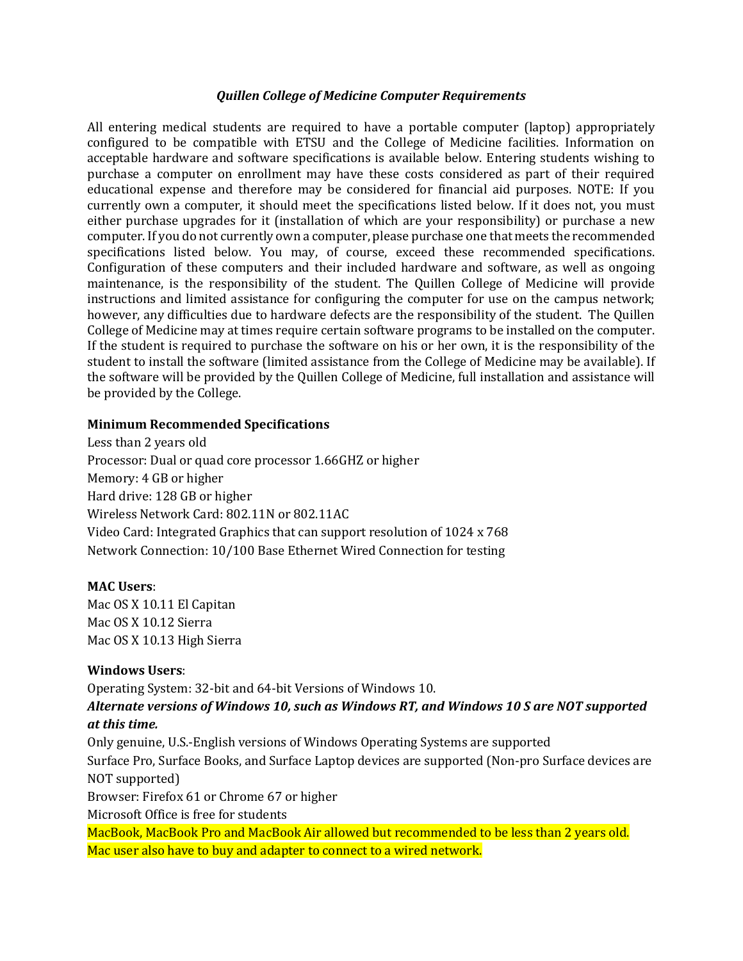#### *Quillen College of Medicine Computer Requirements*

All entering medical students are required to have a portable computer (laptop) appropriately configured to be compatible with ETSU and the College of Medicine facilities. Information on acceptable hardware and software specifications is available below. Entering students wishing to purchase a computer on enrollment may have these costs considered as part of their required educational expense and therefore may be considered for financial aid purposes. NOTE: If you currently own a computer, it should meet the specifications listed below. If it does not, you must either purchase upgrades for it (installation of which are your responsibility) or purchase a new computer. If you do not currently own a computer, please purchase one that meets the recommended specifications listed below. You may, of course, exceed these recommended specifications. Configuration of these computers and their included hardware and software, as well as ongoing maintenance, is the responsibility of the student. The Quillen College of Medicine will provide instructions and limited assistance for configuring the computer for use on the campus network; however, any difficulties due to hardware defects are the responsibility of the student. The Quillen College of Medicine may at times require certain software programs to be installed on the computer. If the student is required to purchase the software on his or her own, it is the responsibility of the student to install the software (limited assistance from the College of Medicine may be available). If the software will be provided by the Quillen College of Medicine, full installation and assistance will be provided by the College.

#### **Minimum Recommended Specifications**

Less than 2 years old Processor: Dual or quad core processor 1.66GHZ or higher Memory: 4 GB or higher Hard drive: 128 GB or higher Wireless Network Card: 802.11N or 802.11AC Video Card: Integrated Graphics that can support resolution of 1024 x 768 Network Connection: 10/100 Base Ethernet Wired Connection for testing

## **MAC Users**:

Mac OS X 10.11 El Capitan Mac OS X 10.12 Sierra Mac OS X 10.13 High Sierra

## **Windows Users**:

Operating System: 32-bit and 64-bit Versions of Windows 10.

## *Alternate versions of Windows 10, such as Windows RT, and Windows 10 S are NOT supported at this time.*

Only genuine, U.S.-English versions of Windows Operating Systems are supported Surface Pro, Surface Books, and Surface Laptop devices are supported (Non-pro Surface devices are NOT supported) Browser: Firefox 61 or Chrome 67 or higher Microsoft Office is free for students MacBook, MacBook Pro and MacBook Air allowed but recommended to be less than 2 years old.

Mac user also have to buy and adapter to connect to a wired network.